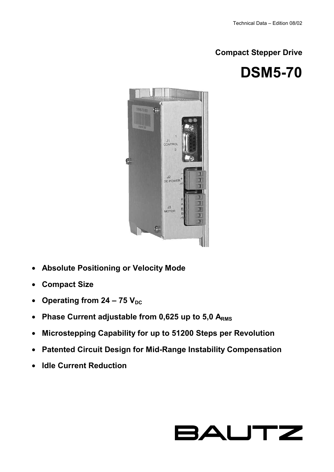**Compact Stepper Drive** 





- **Absolute Positioning or Velocity Mode**
- **Compact Size**
- Operating from  $24 75$  V<sub>DC</sub>
- Phase Current adjustable from 0,625 up to 5,0 ARMS
- **Microstepping Capability for up to 51200 Steps per Revolution**
- **Patented Circuit Design for Mid-Range Instability Compensation**
- **Idle Current Reduction**

# **BAUTZ**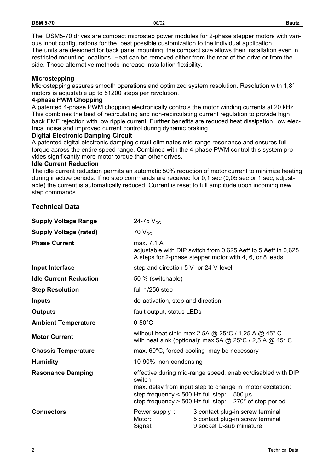The DSM5-70 drives are compact microstep power modules for 2-phase stepper motors with various input configurations for the best possible customization to the individual application. The units are designed for back panel mounting, the compact size allows their installation even in restricted mounting locations. Heat can be removed either from the rear of the drive or from the side. Those alternative methods increase installation flexibility.

### **Microstepping**

Microstepping assures smooth operations and optimized system resolution. Resolution with 1,8° motors is adjustable up to 51200 steps per revolution.

#### **4-phase PWM Chopping**

A patented 4-phase PWM chopping electronically controls the motor winding currents at 20 kHz. This combines the best of recirculating and non-recirculating current regulation to provide high back EMF rejection with low ripple current. Further benefits are reduced heat dissipation, low electrical noise and improved current control during dynamic braking.

#### **Digital Electronic Damping Circuit**

A patented digital electronic damping circuit eliminates mid-range resonance and ensures full torque across the entire speed range. Combined with the 4-phase PWM control this system provides significantly more motor torque than other drives.

#### **Idle Current Reduction**

The idle current reduction permits an automatic 50% reduction of motor current to minimize heating during inactive periods. If no step commands are received for 0,1 sec (0,05 sec or 1 sec, adjustable) the current is automatically reduced. Current is reset to full amplitude upon incoming new step commands.

## **Technical Data**

| <b>Supply Voltage Range</b>   | 24-75 $V_{DC}$                                                                                                                                                                                                                                               |                                                                                                  |  |
|-------------------------------|--------------------------------------------------------------------------------------------------------------------------------------------------------------------------------------------------------------------------------------------------------------|--------------------------------------------------------------------------------------------------|--|
| <b>Supply Voltage (rated)</b> | $70V_{DC}$                                                                                                                                                                                                                                                   |                                                                                                  |  |
| <b>Phase Current</b>          | max. 7,1 A<br>adjustable with DIP switch from 0,625 Aeff to 5 Aeff in 0,625<br>A steps for 2-phase stepper motor with 4, 6, or 8 leads                                                                                                                       |                                                                                                  |  |
| Input Interface               | step and direction 5 V- or 24 V-level                                                                                                                                                                                                                        |                                                                                                  |  |
| <b>Idle Current Reduction</b> | 50 % (switchable)                                                                                                                                                                                                                                            |                                                                                                  |  |
| <b>Step Resolution</b>        | full-1/256 step                                                                                                                                                                                                                                              |                                                                                                  |  |
| <b>Inputs</b>                 | de-activation, step and direction                                                                                                                                                                                                                            |                                                                                                  |  |
| <b>Outputs</b>                | fault output, status LEDs                                                                                                                                                                                                                                    |                                                                                                  |  |
| <b>Ambient Temperature</b>    | $0-50^{\circ}$ C                                                                                                                                                                                                                                             |                                                                                                  |  |
| <b>Motor Current</b>          | without heat sink: max 2,5A @ $25^{\circ}$ C / 1,25 A @ 45° C<br>with heat sink (optional): max 5A $\textcircled{a}$ 25°C / 2,5 A $\textcircled{a}$ 45° C                                                                                                    |                                                                                                  |  |
| <b>Chassis Temperature</b>    | max. 60°C, forced cooling may be necessary                                                                                                                                                                                                                   |                                                                                                  |  |
| <b>Humidity</b>               | 10-90%, non-condensing                                                                                                                                                                                                                                       |                                                                                                  |  |
| <b>Resonance Damping</b>      | effective during mid-range speed, enabled/disabled with DIP<br>switch<br>max. delay from input step to change in motor excitation:<br>step frequency $<$ 500 Hz full step: 500 $\mu$ s<br>step frequency $>$ 500 Hz full step: 270 $^{\circ}$ of step period |                                                                                                  |  |
| <b>Connectors</b>             | Power supply:<br>Motor:<br>Signal:                                                                                                                                                                                                                           | 3 contact plug-in screw terminal<br>5 contact plug-in screw terminal<br>9 socket D-sub miniature |  |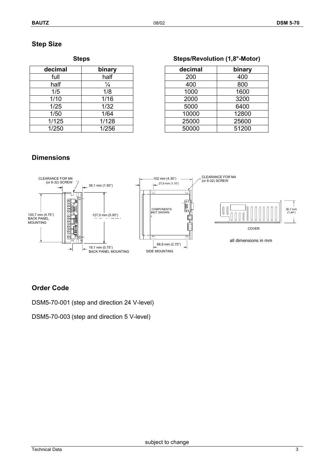## **Step Size**

| decimal | binary        |  |
|---------|---------------|--|
| full    | half          |  |
| half    | $\frac{1}{4}$ |  |
| 1/5     | 1/8           |  |
| 1/10    | 1/16          |  |
| 1/25    | 1/32          |  |
| 1/50    | 1/64          |  |
| 1/125   | 1/128         |  |
| 1/250   | 1/256         |  |

| Steps | Steps/Revolution (1,8°-Motor) |
|-------|-------------------------------|
|       |                               |

| decimal | binary        | decimal | binary |
|---------|---------------|---------|--------|
| full    | half          | 200     | 400    |
| half    | $\frac{1}{4}$ | 400     | 800    |
| 1/5     | 1/8           | 1000    | 1600   |
| 1/10    | 1/16          | 2000    | 3200   |
| 1/25    | 1/32          | 5000    | 6400   |
| 1/50    | 1/64          | 10000   | 12800  |
| 1/125   | 1/128         | 25000   | 25600  |
| 1/250   | 1/256         | 50000   | 51200  |

## **Dimensions**



## **Order Code**

DSM5-70-001 (step and direction 24 V-level)

DSM5-70-003 (step and direction 5 V-level)